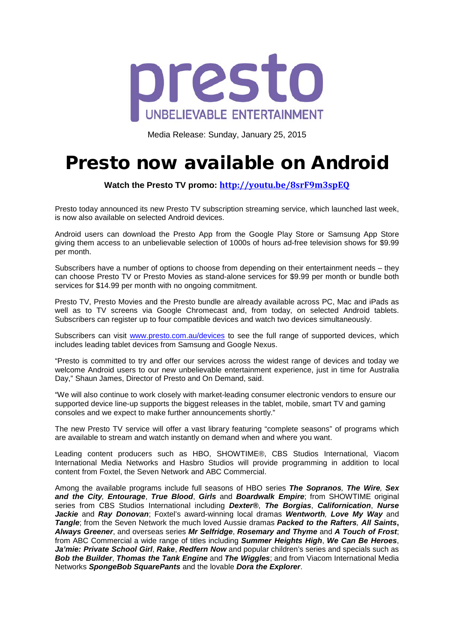

Media Release: Sunday, January 25, 2015

## Presto now available on Android

**Watch the Presto TV promo: <http://youtu.be/8srF9m3spEQ>**

Presto today announced its new Presto TV subscription streaming service, which launched last week, is now also available on selected Android devices.

Android users can download the Presto App from the Google Play Store or Samsung App Store giving them access to an unbelievable selection of 1000s of hours ad-free television shows for \$9.99 per month.

Subscribers have a number of options to choose from depending on their entertainment needs – they can choose Presto TV or Presto Movies as stand-alone services for \$9.99 per month or bundle both services for \$14.99 per month with no ongoing commitment.

Presto TV, Presto Movies and the Presto bundle are already available across PC, Mac and iPads as well as to TV screens via Google Chromecast and, from today, on selected Android tablets. Subscribers can register up to four compatible devices and watch two devices simultaneously.

Subscribers can visit [www.presto.com.au/devices](http://www.presto.com.au/devices) to see the full range of supported devices, which includes leading tablet devices from Samsung and Google Nexus.

"Presto is committed to try and offer our services across the widest range of devices and today we welcome Android users to our new unbelievable entertainment experience, just in time for Australia Day," Shaun James, Director of Presto and On Demand, said.

"We will also continue to work closely with market-leading consumer electronic vendors to ensure our supported device line-up supports the biggest releases in the tablet, mobile, smart TV and gaming consoles and we expect to make further announcements shortly."

The new Presto TV service will offer a vast library featuring "complete seasons" of programs which are available to stream and watch instantly on demand when and where you want.

Leading content producers such as HBO, SHOWTIME®, CBS Studios International, Viacom International Media Networks and Hasbro Studios will provide programming in addition to local content from Foxtel, the Seven Network and ABC Commercial.

Among the available programs include full seasons of HBO series *The Sopranos, The Wire, Sex and the City, Entourage*, *True Blood*, *Girls* and *Boardwalk Empire*; from SHOWTIME original series from CBS Studios International including *Dexter®*, *The Borgias*, *Californication*, *Nurse Jackie* and *Ray Donovan*; Foxtel's award-winning local dramas *Wentworth, Love My Way* and *Tangle*; from the Seven Network the much loved Aussie dramas *Packed to the Rafters, All Saints***,**  *Always Greener*, and overseas series *Mr Selfridge*, *Rosemary and Thyme* and *A Touch of Frost*; from ABC Commercial a wide range of titles including *Summer Heights High*, *We Can Be Heroes*, *Ja'mie: Private School Girl*, *Rake*, *Redfern Now* and popular children's series and specials such as *Bob the Builder*, *Thomas the Tank Engine* and *The Wiggles*; and from Viacom International Media Networks *SpongeBob SquarePants* and the lovable *Dora the Explorer*.